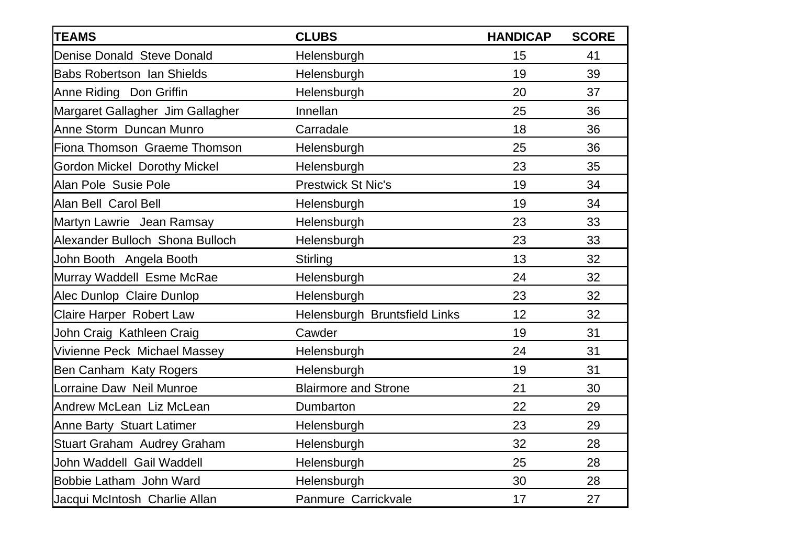| <b>TEAMS</b>                        | <b>CLUBS</b>                  | <b>HANDICAP</b> | <b>SCORE</b> |
|-------------------------------------|-------------------------------|-----------------|--------------|
| Denise Donald Steve Donald          | Helensburgh                   | 15              | 41           |
| <b>Babs Robertson Ian Shields</b>   | Helensburgh                   | 19              | 39           |
| Anne Riding Don Griffin             | Helensburgh                   | 20              | 37           |
| Margaret Gallagher Jim Gallagher    | Innellan                      | 25              | 36           |
| Anne Storm Duncan Munro             | Carradale                     | 18              | 36           |
| Fiona Thomson Graeme Thomson        | Helensburgh                   | 25              | 36           |
| <b>Gordon Mickel Dorothy Mickel</b> | Helensburgh                   | 23              | 35           |
| Alan Pole Susie Pole                | <b>Prestwick St Nic's</b>     | 19              | 34           |
| Alan Bell Carol Bell                | Helensburgh                   | 19              | 34           |
| Martyn Lawrie Jean Ramsay           | Helensburgh                   | 23              | 33           |
| Alexander Bulloch Shona Bulloch     | Helensburgh                   | 23              | 33           |
| John Booth Angela Booth             | Stirling                      | 13              | 32           |
| Murray Waddell Esme McRae           | Helensburgh                   | 24              | 32           |
| Alec Dunlop Claire Dunlop           | Helensburgh                   | 23              | 32           |
| Claire Harper Robert Law            | Helensburgh Bruntsfield Links | 12              | 32           |
| John Craig Kathleen Craig           | Cawder                        | 19              | 31           |
| Vivienne Peck Michael Massey        | Helensburgh                   | 24              | 31           |
| Ben Canham Katy Rogers              | Helensburgh                   | 19              | 31           |
| Lorraine Daw Neil Munroe            | <b>Blairmore and Strone</b>   | 21              | 30           |
| Andrew McLean Liz McLean            | Dumbarton                     | 22              | 29           |
| <b>Anne Barty Stuart Latimer</b>    | Helensburgh                   | 23              | 29           |
| Stuart Graham Audrey Graham         | Helensburgh                   | 32              | 28           |
| John Waddell Gail Waddell           | Helensburgh                   | 25              | 28           |
| Bobbie Latham John Ward             | Helensburgh                   | 30              | 28           |
| Jacqui McIntosh Charlie Allan       | Panmure Carrickvale           | 17              | 27           |